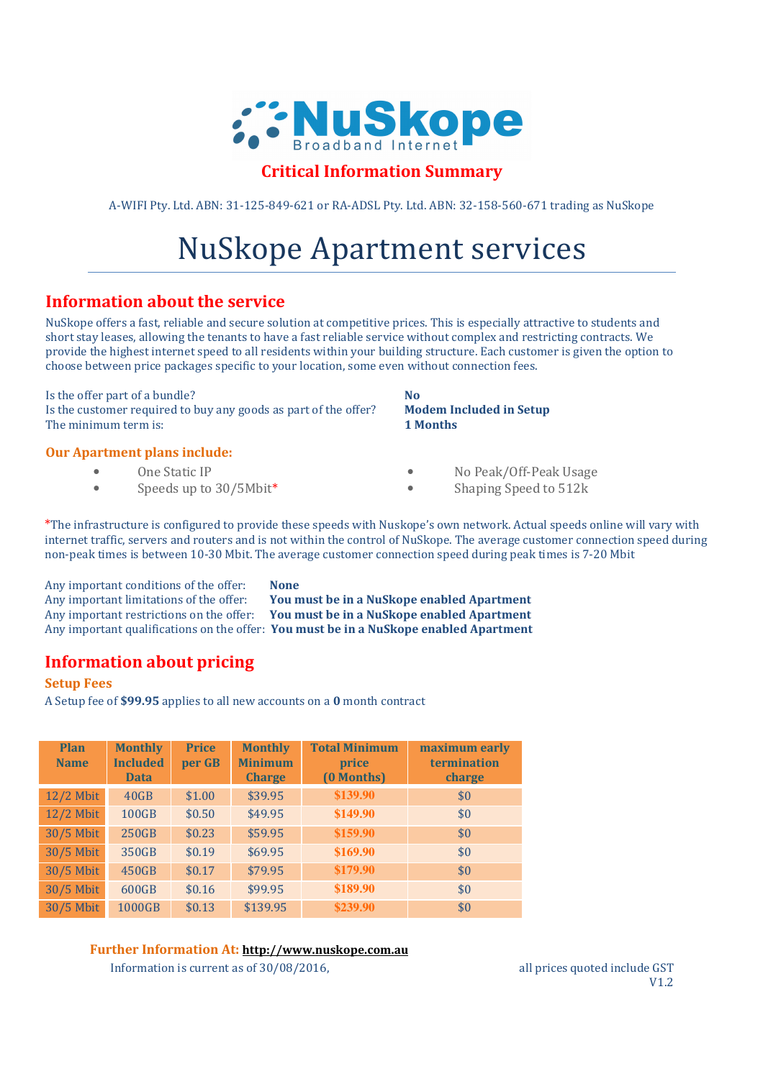

# **Critical Information Summary**

A-WIFI Pty. Ltd. ABN: 31-125-849-621 or RA-ADSL Pty. Ltd. ABN: 32-158-560-671 trading as NuSkope

# NuSkope Apartment services

# **Information about the service**

NuSkope offers a fast, reliable and secure solution at competitive prices. This is especially attractive to students and short stay leases, allowing the tenants to have a fast reliable service without complex and restricting contracts. We provide the highest internet speed to all residents within your building structure. Each customer is given the option to choose between price packages specific to your location, some even without connection fees.

Is the offer part of a bundle? **No** Is the customer required to buy any goods as part of the offer? **Modem Included in Setup** The minimum term is: **1 Months** 

## **Our Apartment plans include:**

## • One Static IP

• Speeds up to 30/5Mbit\*

- No Peak/Off-Peak Usage
- Shaping Speed to 512k

\*The infrastructure is configured to provide these speeds with Nuskope's own network. Actual speeds online will vary with internet traffic, servers and routers and is not within the control of NuSkope. The average customer connection speed during non-peak times is between 10-30 Mbit. The average customer connection speed during peak times is 7-20 Mbit

Any important conditions of the offer: **None**

Any important limitations of the offer: **You must be in a NuSkope enabled Apartment** Any important restrictions on the offer: **You must be in a NuSkope enabled Apartment** Any important qualifications on the offer: **You must be in a NuSkope enabled Apartment**

# **Information about pricing**

#### **Setup Fees**

A Setup fee of **\$99.95** applies to all new accounts on a **0** month contract

| Plan<br><b>Name</b> | <b>Monthly</b><br><b>Included</b><br><b>Data</b> | <b>Price</b><br>per GB | <b>Monthly</b><br><b>Minimum</b><br><b>Charge</b> | <b>Total Minimum</b><br>price<br>(0 Months) | maximum early<br>termination<br>charge |
|---------------------|--------------------------------------------------|------------------------|---------------------------------------------------|---------------------------------------------|----------------------------------------|
| $12/2$ Mbit         | 40GB                                             | \$1.00                 | \$39.95                                           | \$139.90                                    | \$0                                    |
| $12/2$ Mbit         | 100GB                                            | \$0.50                 | \$49.95                                           | \$149.90                                    | \$0                                    |
| 30/5 Mbit           | 250GB                                            | \$0.23                 | \$59.95                                           | \$159.90                                    | \$0                                    |
| 30/5 Mbit           | 350GB                                            | \$0.19                 | \$69.95                                           | \$169.90                                    | \$0                                    |
| 30/5 Mbit           | 450GB                                            | \$0.17                 | \$79.95                                           | \$179.90                                    | \$0                                    |
| 30/5 Mbit           | 600GB                                            | \$0.16                 | \$99.95                                           | \$189.90                                    | \$0                                    |
| 30/5 Mbit           | 1000GB                                           | \$0.13                 | \$139.95                                          | \$239.90                                    | \$0                                    |

#### **Further Information At: http://www.nuskope.com.au**

Information is current as of  $30/08/2016$ , all prices quoted include GST